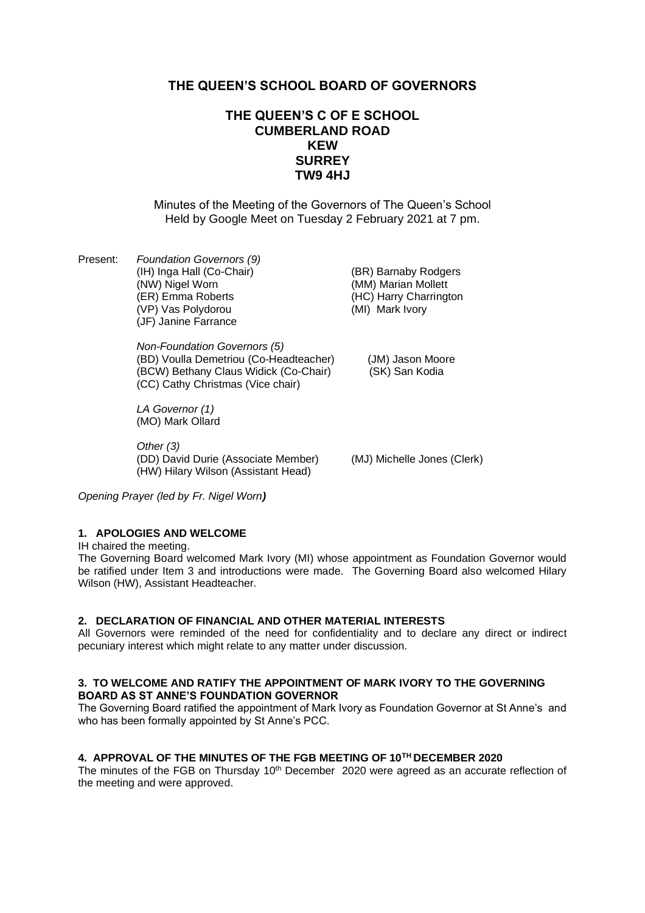# **THE QUEEN'S SCHOOL BOARD OF GOVERNORS**

# **THE QUEEN'S C OF E SCHOOL CUMBERLAND ROAD KEW SURREY TW9 4HJ**

Minutes of the Meeting of the Governors of The Queen's School Held by Google Meet on Tuesday 2 February 2021 at 7 pm.

Present: *Foundation Governors (9)* (IH) Inga Hall (Co-Chair) (BR) Barnaby Rodgers<br>(NW) Nigel Worn (MM) Marian Mollett (ER) Emma Roberts (HC) Harry Charrington (VP) Vas Polydorou (MI) Mark Ivory (JF) Janine Farrance

> *Non-Foundation Governors (5)* (BD) Voulla Demetriou (Co-Headteacher) (JM) Jason Moore (BCW) Bethany Claus Widick (Co-Chair) (SK) San Kodia (CC) Cathy Christmas (Vice chair)

*LA Governor (1)* (MO) Mark Ollard

*Other (3)* (DD) David Durie (Associate Member) (MJ) Michelle Jones (Clerk) (HW) Hilary Wilson (Assistant Head)

(MM) Marian Mollett

*Opening Prayer (led by Fr. Nigel Worn)*

## **1. APOLOGIES AND WELCOME**

IH chaired the meeting.

The Governing Board welcomed Mark Ivory (MI) whose appointment as Foundation Governor would be ratified under Item 3 and introductions were made. The Governing Board also welcomed Hilary Wilson (HW), Assistant Headteacher.

#### **2. DECLARATION OF FINANCIAL AND OTHER MATERIAL INTERESTS**

All Governors were reminded of the need for confidentiality and to declare any direct or indirect pecuniary interest which might relate to any matter under discussion.

## **3. TO WELCOME AND RATIFY THE APPOINTMENT OF MARK IVORY TO THE GOVERNING BOARD AS ST ANNE'S FOUNDATION GOVERNOR**

The Governing Board ratified the appointment of Mark Ivory as Foundation Governor at St Anne's and who has been formally appointed by St Anne's PCC.

### **4. APPROVAL OF THE MINUTES OF THE FGB MEETING OF 10TH DECEMBER 2020**

The minutes of the FGB on Thursday  $10<sup>th</sup>$  December 2020 were agreed as an accurate reflection of the meeting and were approved.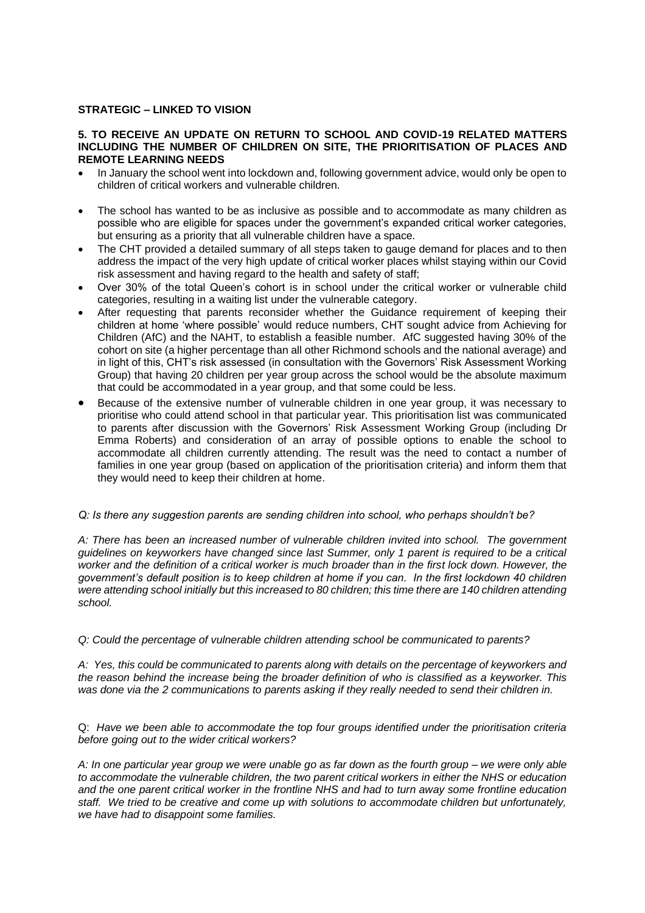### **STRATEGIC – LINKED TO VISION**

#### **5. TO RECEIVE AN UPDATE ON RETURN TO SCHOOL AND COVID-19 RELATED MATTERS INCLUDING THE NUMBER OF CHILDREN ON SITE, THE PRIORITISATION OF PLACES AND REMOTE LEARNING NEEDS**

- In January the school went into lockdown and, following government advice, would only be open to children of critical workers and vulnerable children.
- The school has wanted to be as inclusive as possible and to accommodate as many children as possible who are eligible for spaces under the government's expanded critical worker categories, but ensuring as a priority that all vulnerable children have a space.
- The CHT provided a detailed summary of all steps taken to gauge demand for places and to then address the impact of the very high update of critical worker places whilst staying within our Covid risk assessment and having regard to the health and safety of staff;
- Over 30% of the total Queen's cohort is in school under the critical worker or vulnerable child categories, resulting in a waiting list under the vulnerable category.
- After requesting that parents reconsider whether the Guidance requirement of keeping their children at home 'where possible' would reduce numbers, CHT sought advice from Achieving for Children (AfC) and the NAHT, to establish a feasible number. AfC suggested having 30% of the cohort on site (a higher percentage than all other Richmond schools and the national average) and in light of this, CHT's risk assessed (in consultation with the Governors' Risk Assessment Working Group) that having 20 children per year group across the school would be the absolute maximum that could be accommodated in a year group, and that some could be less.
- Because of the extensive number of vulnerable children in one year group, it was necessary to prioritise who could attend school in that particular year. This prioritisation list was communicated to parents after discussion with the Governors' Risk Assessment Working Group (including Dr Emma Roberts) and consideration of an array of possible options to enable the school to accommodate all children currently attending. The result was the need to contact a number of families in one year group (based on application of the prioritisation criteria) and inform them that they would need to keep their children at home.

#### *Q: Is there any suggestion parents are sending children into school, who perhaps shouldn't be?*

*A: There has been an increased number of vulnerable children invited into school. The government guidelines on keyworkers have changed since last Summer, only 1 parent is required to be a critical worker and the definition of a critical worker is much broader than in the first lock down. However, the government's default position is to keep children at home if you can. In the first lockdown 40 children were attending school initially but this increased to 80 children; this time there are 140 children attending school.*

*Q: Could the percentage of vulnerable children attending school be communicated to parents?*

*A: Yes, this could be communicated to parents along with details on the percentage of keyworkers and the reason behind the increase being the broader definition of who is classified as a keyworker. This was done via the 2 communications to parents asking if they really needed to send their children in.* 

Q: *Have we been able to accommodate the top four groups identified under the prioritisation criteria before going out to the wider critical workers?*

*A: In one particular year group we were unable go as far down as the fourth group – we were only able to accommodate the vulnerable children, the two parent critical workers in either the NHS or education and the one parent critical worker in the frontline NHS and had to turn away some frontline education staff. We tried to be creative and come up with solutions to accommodate children but unfortunately, we have had to disappoint some families.*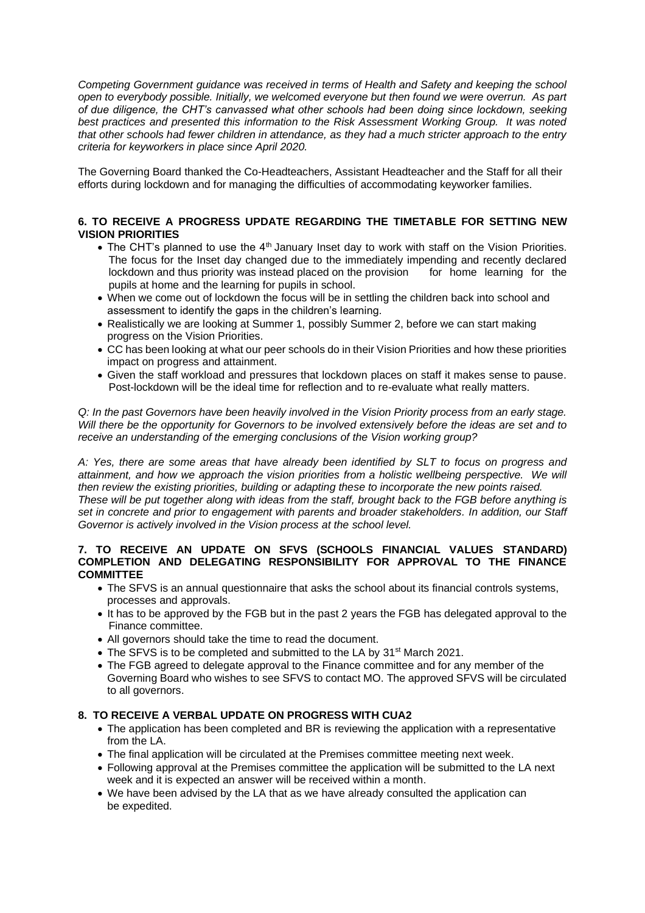*Competing Government guidance was received in terms of Health and Safety and keeping the school open to everybody possible. Initially, we welcomed everyone but then found we were overrun. As part of due diligence, the CHT's canvassed what other schools had been doing since lockdown, seeking best practices and presented this information to the Risk Assessment Working Group. It was noted that other schools had fewer children in attendance, as they had a much stricter approach to the entry criteria for keyworkers in place since April 2020.*

The Governing Board thanked the Co-Headteachers, Assistant Headteacher and the Staff for all their efforts during lockdown and for managing the difficulties of accommodating keyworker families.

## **6. TO RECEIVE A PROGRESS UPDATE REGARDING THE TIMETABLE FOR SETTING NEW VISION PRIORITIES**

- The CHT's planned to use the 4<sup>th</sup> January Inset day to work with staff on the Vision Priorities. The focus for the Inset day changed due to the immediately impending and recently declared lockdown and thus priority was instead placed on the provision for home learning for the pupils at home and the learning for pupils in school.
- When we come out of lockdown the focus will be in settling the children back into school and assessment to identify the gaps in the children's learning.
- Realistically we are looking at Summer 1, possibly Summer 2, before we can start making progress on the Vision Priorities.
- CC has been looking at what our peer schools do in their Vision Priorities and how these priorities impact on progress and attainment.
- Given the staff workload and pressures that lockdown places on staff it makes sense to pause. Post-lockdown will be the ideal time for reflection and to re-evaluate what really matters.

*Q: In the past Governors have been heavily involved in the Vision Priority process from an early stage. Will there be the opportunity for Governors to be involved extensively before the ideas are set and to receive an understanding of the emerging conclusions of the Vision working group?*

*A: Yes, there are some areas that have already been identified by SLT to focus on progress and attainment, and how we approach the vision priorities from a holistic wellbeing perspective. We will then review the existing priorities, building or adapting these to incorporate the new points raised. These will be put together along with ideas from the staff, brought back to the FGB before anything is set in concrete and prior to engagement with parents and broader stakeholders. In addition, our Staff Governor is actively involved in the Vision process at the school level.*

### **7. TO RECEIVE AN UPDATE ON SFVS (SCHOOLS FINANCIAL VALUES STANDARD) COMPLETION AND DELEGATING RESPONSIBILITY FOR APPROVAL TO THE FINANCE COMMITTEE**

- The SFVS is an annual questionnaire that asks the school about its financial controls systems, processes and approvals.
- It has to be approved by the FGB but in the past 2 years the FGB has delegated approval to the Finance committee.
- All governors should take the time to read the document.
- The SFVS is to be completed and submitted to the LA by 31<sup>st</sup> March 2021.
- The FGB agreed to delegate approval to the Finance committee and for any member of the Governing Board who wishes to see SFVS to contact MO. The approved SFVS will be circulated to all governors.

# **8. TO RECEIVE A VERBAL UPDATE ON PROGRESS WITH CUA2**

- The application has been completed and BR is reviewing the application with a representative from the LA.
- The final application will be circulated at the Premises committee meeting next week.
- Following approval at the Premises committee the application will be submitted to the LA next week and it is expected an answer will be received within a month.
- We have been advised by the LA that as we have already consulted the application can be expedited.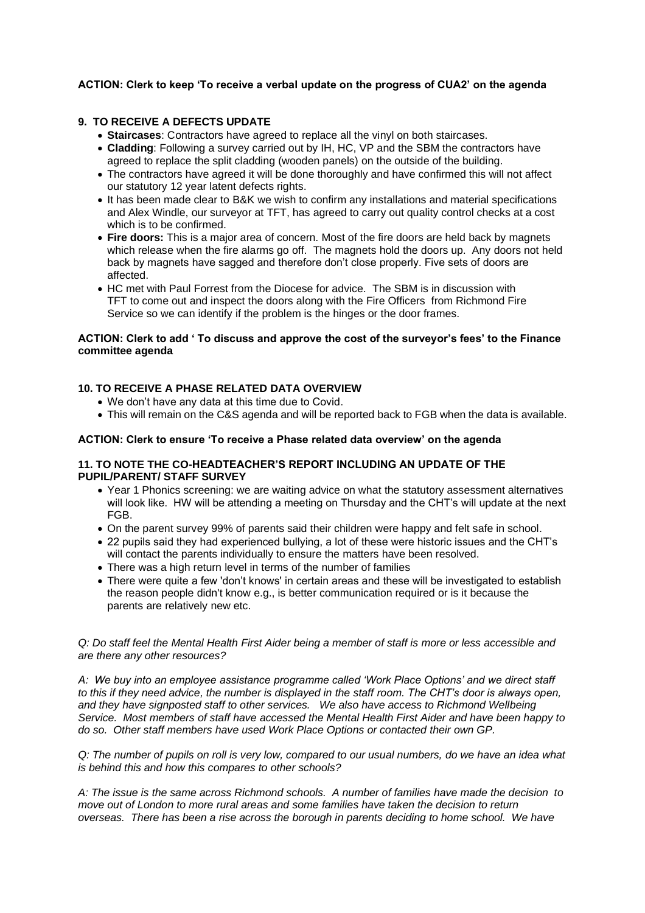## **ACTION: Clerk to keep 'To receive a verbal update on the progress of CUA2' on the agenda**

### **9. TO RECEIVE A DEFECTS UPDATE**

- **Staircases**: Contractors have agreed to replace all the vinyl on both staircases.
- **Cladding**: Following a survey carried out by IH, HC, VP and the SBM the contractors have agreed to replace the split cladding (wooden panels) on the outside of the building.
- The contractors have agreed it will be done thoroughly and have confirmed this will not affect our statutory 12 year latent defects rights.
- It has been made clear to B&K we wish to confirm any installations and material specifications and Alex Windle, our surveyor at TFT, has agreed to carry out quality control checks at a cost which is to be confirmed.
- **Fire doors:** This is a major area of concern. Most of the fire doors are held back by magnets which release when the fire alarms go off. The magnets hold the doors up. Any doors not held back by magnets have sagged and therefore don't close properly. Five sets of doors are affected.
- HC met with Paul Forrest from the Diocese for advice. The SBM is in discussion with TFT to come out and inspect the doors along with the Fire Officers from Richmond Fire Service so we can identify if the problem is the hinges or the door frames.

### **ACTION: Clerk to add ' To discuss and approve the cost of the surveyor's fees' to the Finance committee agenda**

## **10. TO RECEIVE A PHASE RELATED DATA OVERVIEW**

- We don't have any data at this time due to Covid.
- This will remain on the C&S agenda and will be reported back to FGB when the data is available.

#### **ACTION: Clerk to ensure 'To receive a Phase related data overview' on the agenda**

#### **11. TO NOTE THE CO-HEADTEACHER'S REPORT INCLUDING AN UPDATE OF THE PUPIL/PARENT/ STAFF SURVEY**

- Year 1 Phonics screening: we are waiting advice on what the statutory assessment alternatives will look like. HW will be attending a meeting on Thursday and the CHT's will update at the next FGB.
- On the parent survey 99% of parents said their children were happy and felt safe in school.
- 22 pupils said they had experienced bullying, a lot of these were historic issues and the CHT's will contact the parents individually to ensure the matters have been resolved.
- There was a high return level in terms of the number of families
- There were quite a few 'don't knows' in certain areas and these will be investigated to establish the reason people didn't know e.g., is better communication required or is it because the parents are relatively new etc.

#### *Q: Do staff feel the Mental Health First Aider being a member of staff is more or less accessible and are there any other resources?*

*A: We buy into an employee assistance programme called 'Work Place Options' and we direct staff to this if they need advice, the number is displayed in the staff room. The CHT's door is always open, and they have signposted staff to other services. We also have access to Richmond Wellbeing Service. Most members of staff have accessed the Mental Health First Aider and have been happy to do so. Other staff members have used Work Place Options or contacted their own GP.*

*Q: The number of pupils on roll is very low, compared to our usual numbers, do we have an idea what is behind this and how this compares to other schools?*

*A: The issue is the same across Richmond schools. A number of families have made the decision to move out of London to more rural areas and some families have taken the decision to return overseas. There has been a rise across the borough in parents deciding to home school. We have*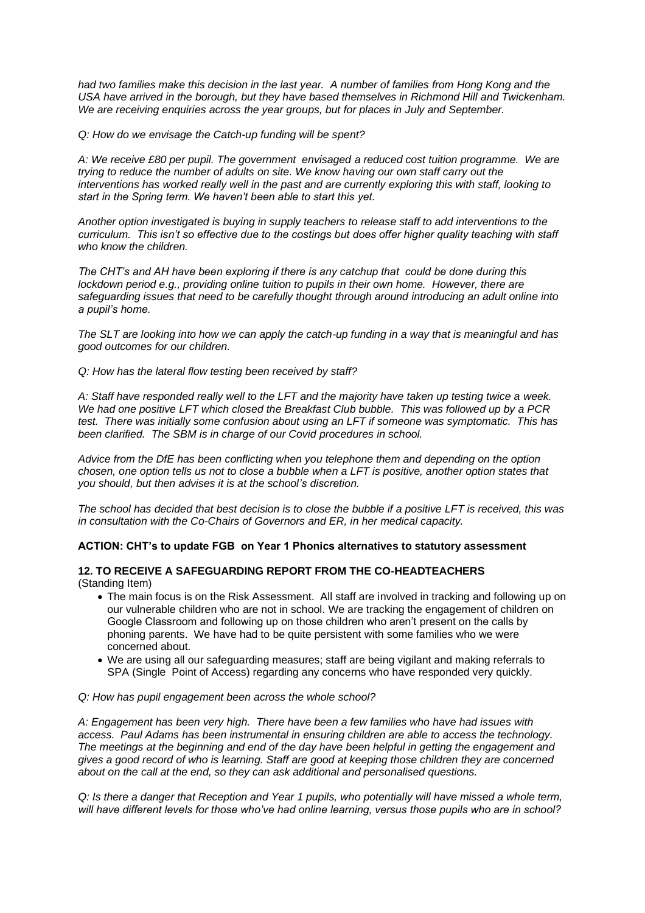*had two families make this decision in the last year. A number of families from Hong Kong and the USA have arrived in the borough, but they have based themselves in Richmond Hill and Twickenham. We are receiving enquiries across the year groups, but for places in July and September.*

*Q: How do we envisage the Catch-up funding will be spent?*

*A: We receive £80 per pupil. The government envisaged a reduced cost tuition programme. We are trying to reduce the number of adults on site. We know having our own staff carry out the interventions has worked really well in the past and are currently exploring this with staff, looking to start in the Spring term. We haven't been able to start this yet.*

*Another option investigated is buying in supply teachers to release staff to add interventions to the curriculum. This isn't so effective due to the costings but does offer higher quality teaching with staff who know the children.*

*The CHT's and AH have been exploring if there is any catchup that could be done during this lockdown period e.g., providing online tuition to pupils in their own home. However, there are safeguarding issues that need to be carefully thought through around introducing an adult online into a pupil's home.* 

*The SLT are looking into how we can apply the catch-up funding in a way that is meaningful and has good outcomes for our children.*

*Q: How has the lateral flow testing been received by staff?*

*A: Staff have responded really well to the LFT and the majority have taken up testing twice a week. We had one positive LFT which closed the Breakfast Club bubble. This was followed up by a PCR test. There was initially some confusion about using an LFT if someone was symptomatic. This has been clarified. The SBM is in charge of our Covid procedures in school.* 

*Advice from the DfE has been conflicting when you telephone them and depending on the option chosen, one option tells us not to close a bubble when a LFT is positive, another option states that you should, but then advises it is at the school's discretion.*

*The school has decided that best decision is to close the bubble if a positive LFT is received, this was in consultation with the Co-Chairs of Governors and ER, in her medical capacity.*

## **ACTION: CHT's to update FGB on Year 1 Phonics alternatives to statutory assessment**

### **12. TO RECEIVE A SAFEGUARDING REPORT FROM THE CO-HEADTEACHERS** (Standing Item)

- The main focus is on the Risk Assessment. All staff are involved in tracking and following up on our vulnerable children who are not in school. We are tracking the engagement of children on Google Classroom and following up on those children who aren't present on the calls by phoning parents. We have had to be quite persistent with some families who we were concerned about.
- We are using all our safeguarding measures; staff are being vigilant and making referrals to SPA (Single Point of Access) regarding any concerns who have responded very quickly.

#### *Q: How has pupil engagement been across the whole school?*

*A: Engagement has been very high. There have been a few families who have had issues with access. Paul Adams has been instrumental in ensuring children are able to access the technology. The meetings at the beginning and end of the day have been helpful in getting the engagement and gives a good record of who is learning. Staff are good at keeping those children they are concerned about on the call at the end, so they can ask additional and personalised questions.*

*Q: Is there a danger that Reception and Year 1 pupils, who potentially will have missed a whole term, will have different levels for those who've had online learning, versus those pupils who are in school?*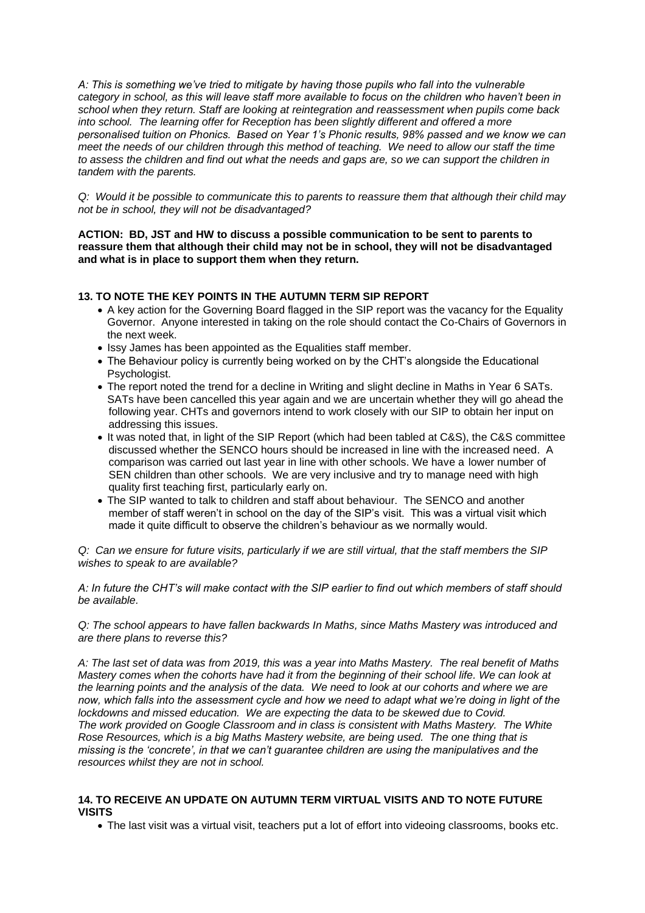*A: This is something we've tried to mitigate by having those pupils who fall into the vulnerable category in school, as this will leave staff more available to focus on the children who haven't been in school when they return. Staff are looking at reintegration and reassessment when pupils come back into school. The learning offer for Reception has been slightly different and offered a more personalised tuition on Phonics. Based on Year 1's Phonic results, 98% passed and we know we can meet the needs of our children through this method of teaching. We need to allow our staff the time to assess the children and find out what the needs and gaps are, so we can support the children in tandem with the parents.*

*Q: Would it be possible to communicate this to parents to reassure them that although their child may not be in school, they will not be disadvantaged?*

**ACTION: BD, JST and HW to discuss a possible communication to be sent to parents to reassure them that although their child may not be in school, they will not be disadvantaged and what is in place to support them when they return.**

## **13. TO NOTE THE KEY POINTS IN THE AUTUMN TERM SIP REPORT**

- A key action for the Governing Board flagged in the SIP report was the vacancy for the Equality Governor. Anyone interested in taking on the role should contact the Co-Chairs of Governors in the next week.
- Issy James has been appointed as the Equalities staff member.
- The Behaviour policy is currently being worked on by the CHT's alongside the Educational Psychologist.
- The report noted the trend for a decline in Writing and slight decline in Maths in Year 6 SATs. SATs have been cancelled this year again and we are uncertain whether they will go ahead the following year. CHTs and governors intend to work closely with our SIP to obtain her input on addressing this issues.
- It was noted that, in light of the SIP Report (which had been tabled at C&S), the C&S committee discussed whether the SENCO hours should be increased in line with the increased need. A comparison was carried out last year in line with other schools. We have a lower number of SEN children than other schools. We are very inclusive and try to manage need with high quality first teaching first, particularly early on.
- The SIP wanted to talk to children and staff about behaviour. The SENCO and another member of staff weren't in school on the day of the SIP's visit. This was a virtual visit which made it quite difficult to observe the children's behaviour as we normally would.

*Q: Can we ensure for future visits, particularly if we are still virtual, that the staff members the SIP wishes to speak to are available?*

*A: In future the CHT's will make contact with the SIP earlier to find out which members of staff should be available.*

*Q: The school appears to have fallen backwards In Maths, since Maths Mastery was introduced and are there plans to reverse this?*

*A: The last set of data was from 2019, this was a year into Maths Mastery. The real benefit of Maths Mastery comes when the cohorts have had it from the beginning of their school life. We can look at the learning points and the analysis of the data. We need to look at our cohorts and where we are now, which falls into the assessment cycle and how we need to adapt what we're doing in light of the lockdowns and missed education. We are expecting the data to be skewed due to Covid. The work provided on Google Classroom and in class is consistent with Maths Mastery. The White Rose Resources, which is a big Maths Mastery website, are being used. The one thing that is missing is the 'concrete', in that we can't guarantee children are using the manipulatives and the resources whilst they are not in school.*

## **14. TO RECEIVE AN UPDATE ON AUTUMN TERM VIRTUAL VISITS AND TO NOTE FUTURE VISITS**

• The last visit was a virtual visit, teachers put a lot of effort into videoing classrooms, books etc.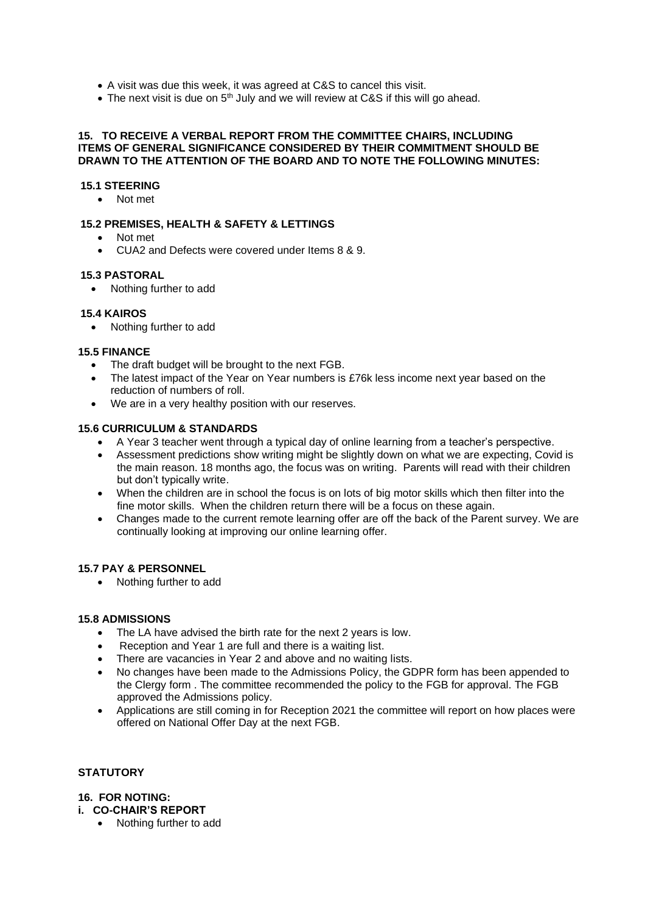- A visit was due this week, it was agreed at C&S to cancel this visit.
- The next visit is due on  $5<sup>th</sup>$  July and we will review at C&S if this will go ahead.

#### **15. TO RECEIVE A VERBAL REPORT FROM THE COMMITTEE CHAIRS, INCLUDING ITEMS OF GENERAL SIGNIFICANCE CONSIDERED BY THEIR COMMITMENT SHOULD BE DRAWN TO THE ATTENTION OF THE BOARD AND TO NOTE THE FOLLOWING MINUTES:**

### **15.1 STEERING**

• Not met

## **15.2 PREMISES, HEALTH & SAFETY & LETTINGS**

- Not met
- CUA2 and Defects were covered under Items 8 & 9.

### **15.3 PASTORAL**

• Nothing further to add

### **15.4 KAIROS**

• Nothing further to add

### **15.5 FINANCE**

- The draft budget will be brought to the next FGB.
- The latest impact of the Year on Year numbers is £76k less income next year based on the reduction of numbers of roll.
- We are in a very healthy position with our reserves.

### **15.6 CURRICULUM & STANDARDS**

- A Year 3 teacher went through a typical day of online learning from a teacher's perspective.
- Assessment predictions show writing might be slightly down on what we are expecting, Covid is the main reason. 18 months ago, the focus was on writing. Parents will read with their children but don't typically write.
- When the children are in school the focus is on lots of big motor skills which then filter into the fine motor skills. When the children return there will be a focus on these again.
- Changes made to the current remote learning offer are off the back of the Parent survey. We are continually looking at improving our online learning offer.

#### **15.7 PAY & PERSONNEL**

• Nothing further to add

#### **15.8 ADMISSIONS**

- The LA have advised the birth rate for the next 2 years is low.
- Reception and Year 1 are full and there is a waiting list.
- There are vacancies in Year 2 and above and no waiting lists.
- No changes have been made to the Admissions Policy, the GDPR form has been appended to the Clergy form . The committee recommended the policy to the FGB for approval. The FGB approved the Admissions policy.
- Applications are still coming in for Reception 2021 the committee will report on how places were offered on National Offer Day at the next FGB.

#### **STATUTORY**

#### **16. FOR NOTING:**

- **i. CO-CHAIR'S REPORT**
	- Nothing further to add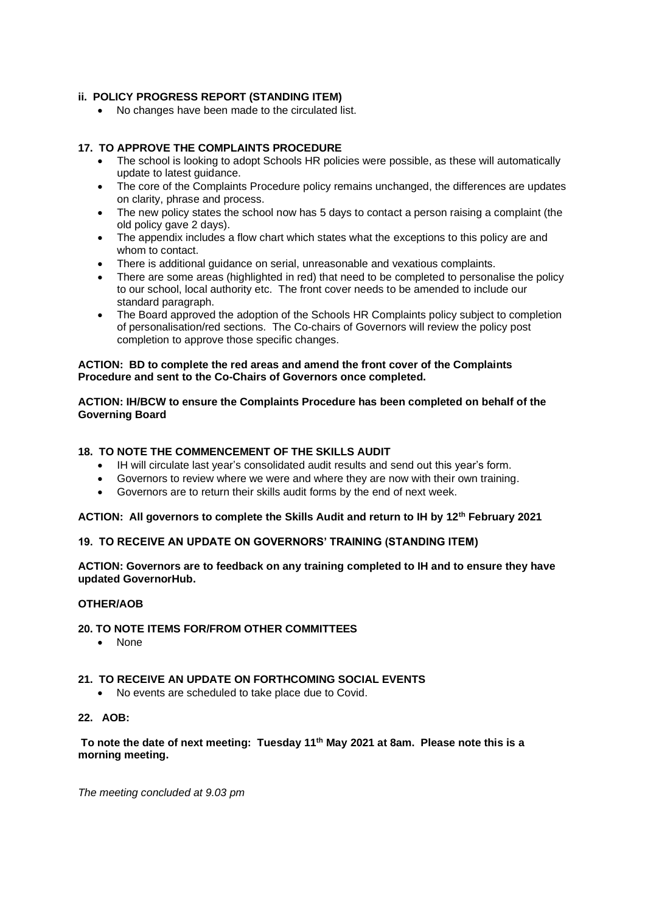## **ii. POLICY PROGRESS REPORT (STANDING ITEM)**

• No changes have been made to the circulated list.

## **17. TO APPROVE THE COMPLAINTS PROCEDURE**

- The school is looking to adopt Schools HR policies were possible, as these will automatically update to latest guidance.
- The core of the Complaints Procedure policy remains unchanged, the differences are updates on clarity, phrase and process.
- The new policy states the school now has 5 days to contact a person raising a complaint (the old policy gave 2 days).
- The appendix includes a flow chart which states what the exceptions to this policy are and whom to contact.
- There is additional guidance on serial, unreasonable and vexatious complaints.
- There are some areas (highlighted in red) that need to be completed to personalise the policy to our school, local authority etc. The front cover needs to be amended to include our standard paragraph.
- The Board approved the adoption of the Schools HR Complaints policy subject to completion of personalisation/red sections. The Co-chairs of Governors will review the policy post completion to approve those specific changes.

### **ACTION: BD to complete the red areas and amend the front cover of the Complaints Procedure and sent to the Co-Chairs of Governors once completed.**

## **ACTION: IH/BCW to ensure the Complaints Procedure has been completed on behalf of the Governing Board**

## **18. TO NOTE THE COMMENCEMENT OF THE SKILLS AUDIT**

- IH will circulate last year's consolidated audit results and send out this year's form.
- Governors to review where we were and where they are now with their own training.
- Governors are to return their skills audit forms by the end of next week.

## **ACTION: All governors to complete the Skills Audit and return to IH by 12th February 2021**

## **19. TO RECEIVE AN UPDATE ON GOVERNORS' TRAINING (STANDING ITEM)**

**ACTION: Governors are to feedback on any training completed to IH and to ensure they have updated GovernorHub.**

## **OTHER/AOB**

## **20. TO NOTE ITEMS FOR/FROM OTHER COMMITTEES**

• None

#### **21. TO RECEIVE AN UPDATE ON FORTHCOMING SOCIAL EVENTS**

• No events are scheduled to take place due to Covid.

## **22. AOB:**

**To note the date of next meeting: Tuesday 11th May 2021 at 8am. Please note this is a morning meeting.**

*The meeting concluded at 9.03 pm*